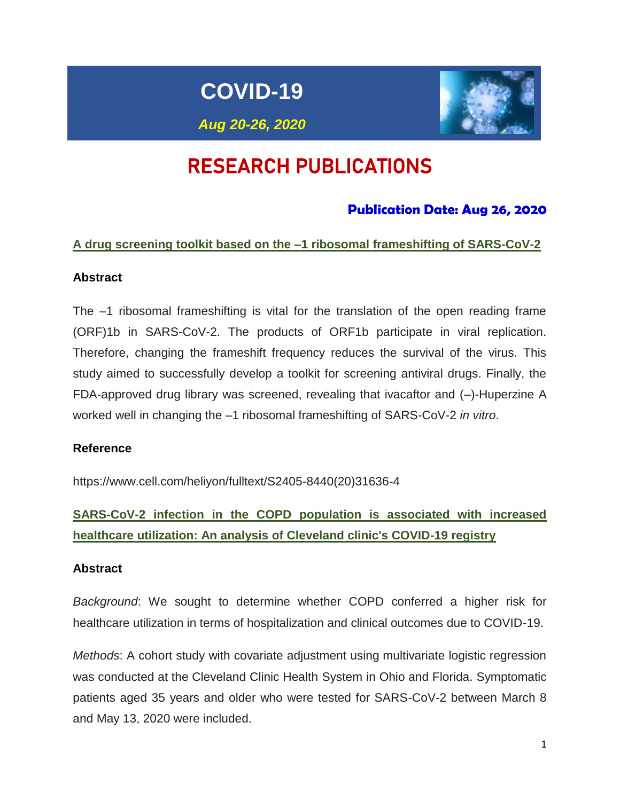# **COVID-19**



*Aug 20-26, 2020*

# RESEARCH PUBLICATIONS

# **Publication Date: Aug 26, 2020**

# **A drug screening toolkit based on the –1 ribosomal frameshifting of SARS-CoV-2**

# **Abstract**

The –1 ribosomal frameshifting is vital for the translation of the open reading frame (ORF)1b in SARS-CoV-2. The products of ORF1b participate in viral replication. Therefore, changing the frameshift frequency reduces the survival of the virus. This study aimed to successfully develop a toolkit for screening antiviral drugs. Finally, the FDA-approved drug library was screened, revealing that ivacaftor and (–)-Huperzine A worked well in changing the –1 ribosomal frameshifting of SARS-CoV-2 *in vitro*.

# **Reference**

[https://www.cell.com/heliyon/fulltext/S2405-8440\(20\)31636-4](https://www.cell.com/heliyon/fulltext/S2405-8440(20)31636-4)

**SARS-CoV-2 infection in the COPD population is associated with increased healthcare utilization: An analysis of Cleveland clinic's COVID-19 registry**

### **Abstract**

*Background*: We sought to determine whether COPD conferred a higher risk for healthcare utilization in terms of hospitalization and clinical outcomes due to COVID-19.

*Methods*: A cohort study with covariate adjustment using multivariate logistic regression was conducted at the Cleveland Clinic Health System in Ohio and Florida. Symptomatic patients aged 35 years and older who were tested for SARS-CoV-2 between March 8 and May 13, 2020 were included.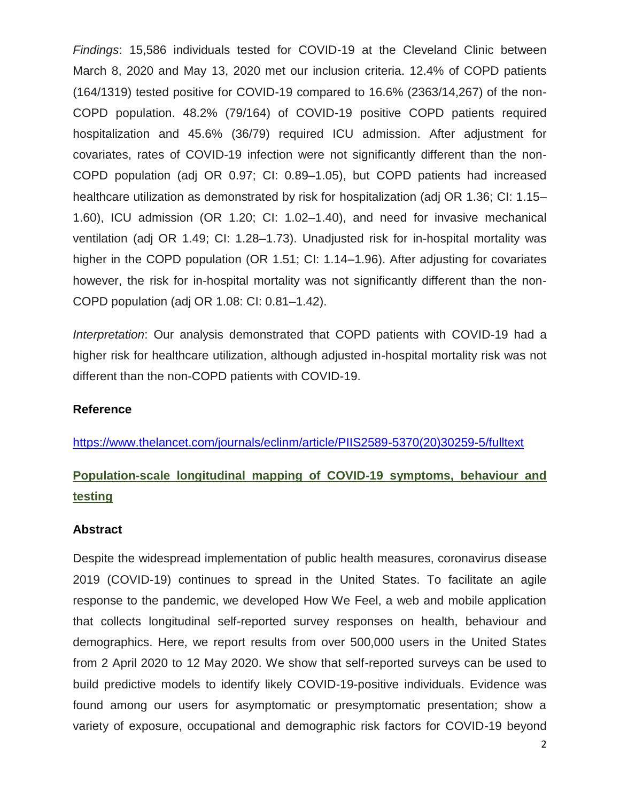*Findings*: 15,586 individuals tested for COVID-19 at the Cleveland Clinic between March 8, 2020 and May 13, 2020 met our inclusion criteria. 12.4% of COPD patients (164/1319) tested positive for COVID-19 compared to 16.6% (2363/14,267) of the non-COPD population. 48.2% (79/164) of COVID-19 positive COPD patients required hospitalization and 45.6% (36/79) required ICU admission. After adjustment for covariates, rates of COVID-19 infection were not significantly different than the non-COPD population (adj OR 0.97; CI: 0.89–1.05), but COPD patients had increased healthcare utilization as demonstrated by risk for hospitalization (adi OR 1.36; CI: 1.15– 1.60), ICU admission (OR 1.20; CI: 1.02–1.40), and need for invasive mechanical ventilation (adj OR 1.49; CI: 1.28–1.73). Unadjusted risk for in-hospital mortality was higher in the COPD population (OR 1.51; CI: 1.14–1.96). After adjusting for covariates however, the risk for in-hospital mortality was not significantly different than the non-COPD population (adj OR 1.08: CI: 0.81–1.42).

*Interpretation*: Our analysis demonstrated that COPD patients with COVID-19 had a higher risk for healthcare utilization, although adjusted in-hospital mortality risk was not different than the non-COPD patients with COVID-19.

### **Reference**

[https://www.thelancet.com/journals/eclinm/article/PIIS2589-5370\(20\)30259-5/fulltext](https://www.thelancet.com/journals/eclinm/article/PIIS2589-5370(20)30259-5/fulltext)

# **Population-scale longitudinal mapping of COVID-19 symptoms, behaviour and testing**

### **Abstract**

Despite the widespread implementation of public health measures, coronavirus disease 2019 (COVID-19) continues to spread in the United States. To facilitate an agile response to the pandemic, we developed How We Feel, a web and mobile application that collects longitudinal self-reported survey responses on health, behaviour and demographics. Here, we report results from over 500,000 users in the United States from 2 April 2020 to 12 May 2020. We show that self-reported surveys can be used to build predictive models to identify likely COVID-19-positive individuals. Evidence was found among our users for asymptomatic or presymptomatic presentation; show a variety of exposure, occupational and demographic risk factors for COVID-19 beyond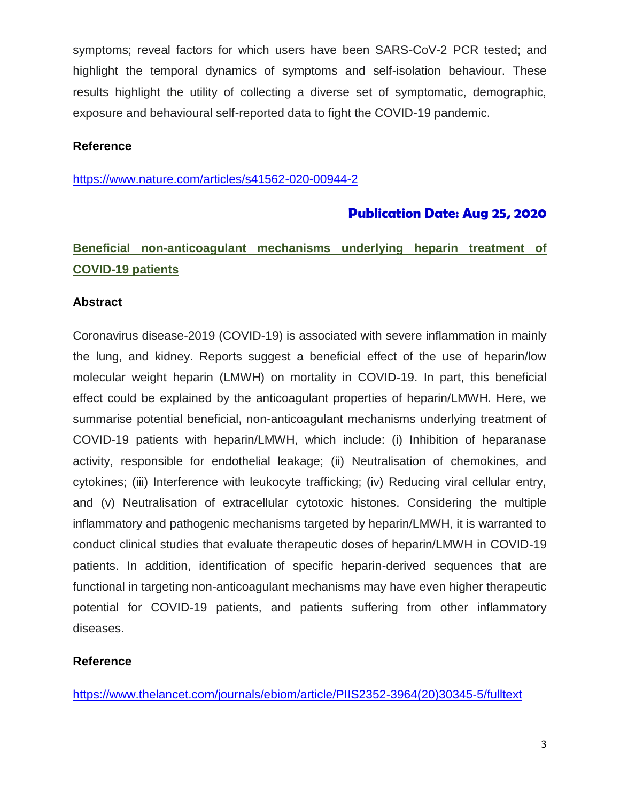symptoms; reveal factors for which users have been SARS-CoV-2 PCR tested; and highlight the temporal dynamics of symptoms and self-isolation behaviour. These results highlight the utility of collecting a diverse set of symptomatic, demographic, exposure and behavioural self-reported data to fight the COVID-19 pandemic.

## **Reference**

<https://www.nature.com/articles/s41562-020-00944-2>

# **Publication Date: Aug 25, 2020**

# **Beneficial non-anticoagulant mechanisms underlying heparin treatment of COVID-19 patients**

### **Abstract**

Coronavirus disease-2019 (COVID-19) is associated with severe inflammation in mainly the lung, and kidney. Reports suggest a beneficial effect of the use of heparin/low molecular weight heparin (LMWH) on mortality in COVID-19. In part, this beneficial effect could be explained by the anticoagulant properties of heparin/LMWH. Here, we summarise potential beneficial, non-anticoagulant mechanisms underlying treatment of COVID-19 patients with heparin/LMWH, which include: (i) Inhibition of heparanase activity, responsible for endothelial leakage; (ii) Neutralisation of chemokines, and cytokines; (iii) Interference with leukocyte trafficking; (iv) Reducing viral cellular entry, and (v) Neutralisation of extracellular cytotoxic histones. Considering the multiple inflammatory and pathogenic mechanisms targeted by heparin/LMWH, it is warranted to conduct clinical studies that evaluate therapeutic doses of heparin/LMWH in COVID-19 patients. In addition, identification of specific heparin-derived sequences that are functional in targeting non-anticoagulant mechanisms may have even higher therapeutic potential for COVID-19 patients, and patients suffering from other inflammatory diseases.

# **Reference**

[https://www.thelancet.com/journals/ebiom/article/PIIS2352-3964\(20\)30345-5/fulltext](https://www.thelancet.com/journals/ebiom/article/PIIS2352-3964(20)30345-5/fulltext)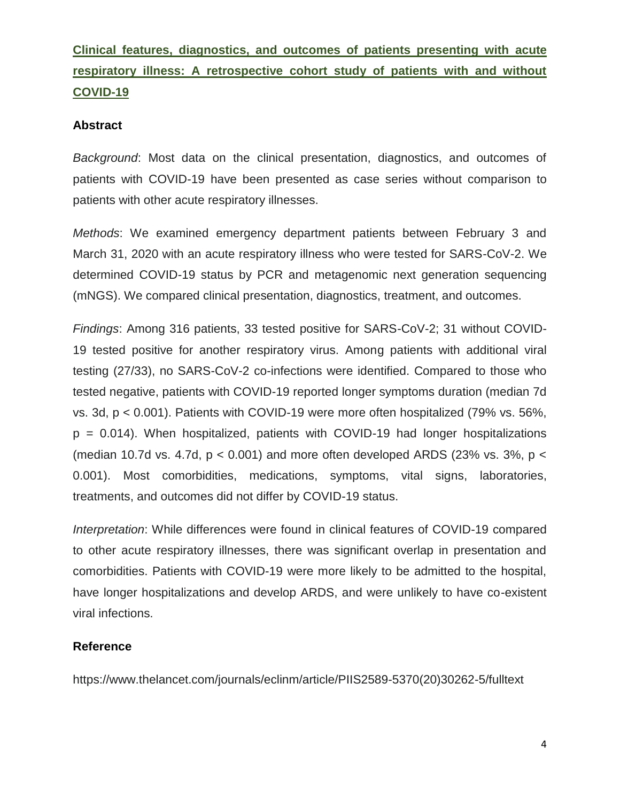# **Clinical features, diagnostics, and outcomes of patients presenting with acute respiratory illness: A retrospective cohort study of patients with and without COVID-19**

## **Abstract**

*Background*: Most data on the clinical presentation, diagnostics, and outcomes of patients with COVID-19 have been presented as case series without comparison to patients with other acute respiratory illnesses.

*Methods*: We examined emergency department patients between February 3 and March 31, 2020 with an acute respiratory illness who were tested for SARS-CoV-2. We determined COVID-19 status by PCR and metagenomic next generation sequencing (mNGS). We compared clinical presentation, diagnostics, treatment, and outcomes.

*Findings*: Among 316 patients, 33 tested positive for SARS-CoV-2; 31 without COVID-19 tested positive for another respiratory virus. Among patients with additional viral testing (27/33), no SARS-CoV-2 co-infections were identified. Compared to those who tested negative, patients with COVID-19 reported longer symptoms duration (median 7d vs. 3d, p < 0.001). Patients with COVID-19 were more often hospitalized (79% vs. 56%,  $p = 0.014$ ). When hospitalized, patients with COVID-19 had longer hospitalizations (median 10.7d vs. 4.7d,  $p < 0.001$ ) and more often developed ARDS (23% vs. 3%,  $p <$ 0.001). Most comorbidities, medications, symptoms, vital signs, laboratories, treatments, and outcomes did not differ by COVID-19 status.

*Interpretation*: While differences were found in clinical features of COVID-19 compared to other acute respiratory illnesses, there was significant overlap in presentation and comorbidities. Patients with COVID-19 were more likely to be admitted to the hospital, have longer hospitalizations and develop ARDS, and were unlikely to have co-existent viral infections.

# **Reference**

https://www.thelancet.com/journals/eclinm/article/PIIS2589-5370(20)30262-5/fulltext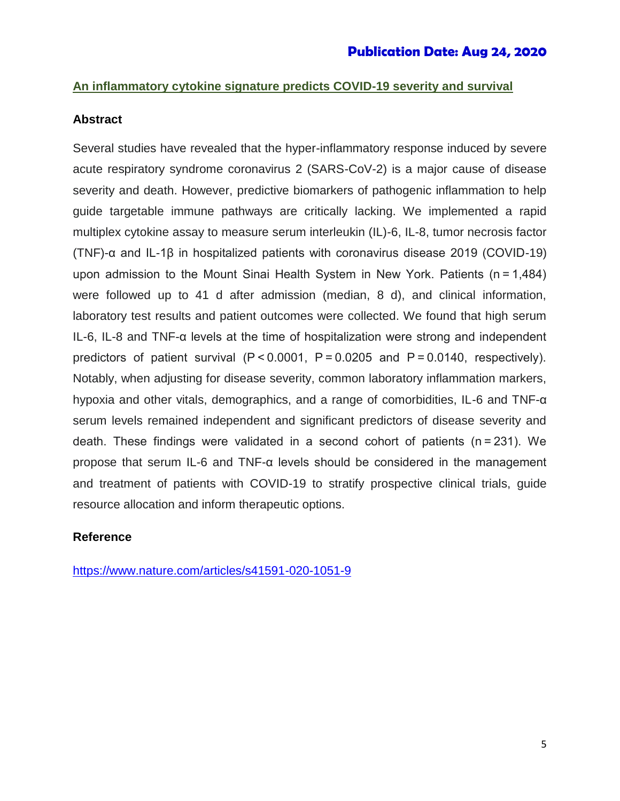# **An inflammatory cytokine signature predicts COVID-19 severity and survival**

## **Abstract**

Several studies have revealed that the hyper-inflammatory response induced by severe acute respiratory syndrome coronavirus 2 (SARS-CoV-2) is a major cause of disease severity and death. However, predictive biomarkers of pathogenic inflammation to help guide targetable immune pathways are critically lacking. We implemented a rapid multiplex cytokine assay to measure serum interleukin (IL)-6, IL-8, tumor necrosis factor (TNF)-α and IL-1β in hospitalized patients with coronavirus disease 2019 (COVID-19) upon admission to the Mount Sinai Health System in New York. Patients (n = 1,484) were followed up to 41 d after admission (median, 8 d), and clinical information, laboratory test results and patient outcomes were collected. We found that high serum IL-6, IL-8 and TNF-α levels at the time of hospitalization were strong and independent predictors of patient survival (P < 0.0001, P = 0.0205 and P = 0.0140, respectively). Notably, when adjusting for disease severity, common laboratory inflammation markers, hypoxia and other vitals, demographics, and a range of comorbidities, IL-6 and TNF-α serum levels remained independent and significant predictors of disease severity and death. These findings were validated in a second cohort of patients (n = 231). We propose that serum IL-6 and TNF-α levels should be considered in the management and treatment of patients with COVID-19 to stratify prospective clinical trials, guide resource allocation and inform therapeutic options.

# **Reference**

<https://www.nature.com/articles/s41591-020-1051-9>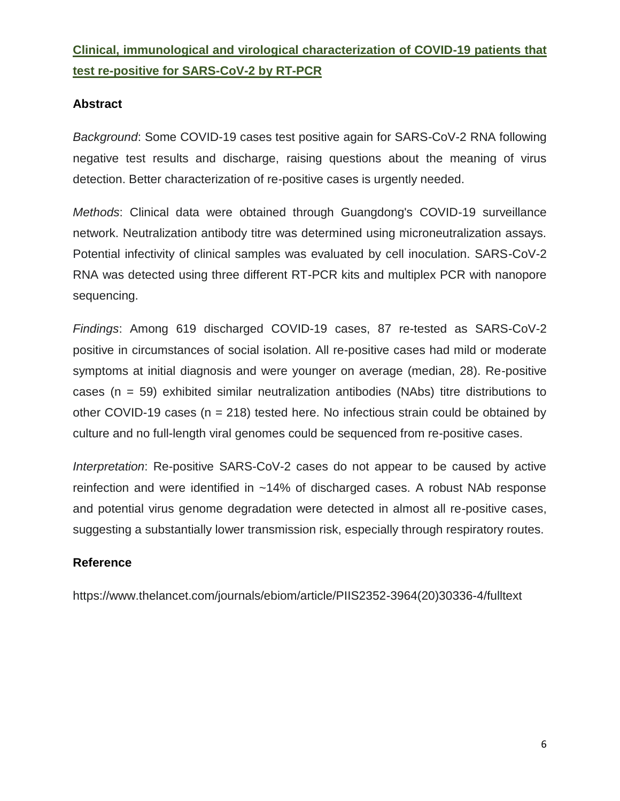# **Clinical, immunological and virological characterization of COVID-19 patients that test re-positive for SARS-CoV-2 by RT-PCR**

# **Abstract**

*Background*: Some COVID-19 cases test positive again for SARS-CoV-2 RNA following negative test results and discharge, raising questions about the meaning of virus detection. Better characterization of re-positive cases is urgently needed.

*Methods*: Clinical data were obtained through Guangdong's COVID-19 surveillance network. Neutralization antibody titre was determined using microneutralization assays. Potential infectivity of clinical samples was evaluated by cell inoculation. SARS-CoV-2 RNA was detected using three different RT-PCR kits and multiplex PCR with nanopore sequencing.

*Findings*: Among 619 discharged COVID-19 cases, 87 re-tested as SARS-CoV-2 positive in circumstances of social isolation. All re-positive cases had mild or moderate symptoms at initial diagnosis and were younger on average (median, 28). Re-positive cases (n = 59) exhibited similar neutralization antibodies (NAbs) titre distributions to other COVID-19 cases ( $n = 218$ ) tested here. No infectious strain could be obtained by culture and no full-length viral genomes could be sequenced from re-positive cases.

*Interpretation*: Re-positive SARS-CoV-2 cases do not appear to be caused by active reinfection and were identified in ~14% of discharged cases. A robust NAb response and potential virus genome degradation were detected in almost all re-positive cases, suggesting a substantially lower transmission risk, especially through respiratory routes.

# **Reference**

https://www.thelancet.com/journals/ebiom/article/PIIS2352-3964(20)30336-4/fulltext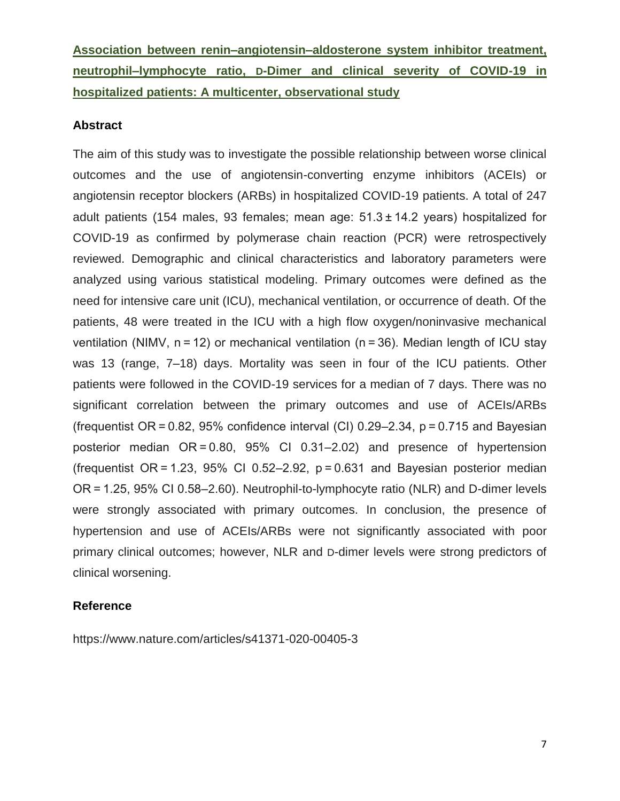**Association between renin–angiotensin–aldosterone system inhibitor treatment, neutrophil–lymphocyte ratio, D-Dimer and clinical severity of COVID-19 in hospitalized patients: A multicenter, observational study**

## **Abstract**

The aim of this study was to investigate the possible relationship between worse clinical outcomes and the use of angiotensin-converting enzyme inhibitors (ACEIs) or angiotensin receptor blockers (ARBs) in hospitalized COVID-19 patients. A total of 247 adult patients (154 males, 93 females; mean age: 51.3 ± 14.2 years) hospitalized for COVID-19 as confirmed by polymerase chain reaction (PCR) were retrospectively reviewed. Demographic and clinical characteristics and laboratory parameters were analyzed using various statistical modeling. Primary outcomes were defined as the need for intensive care unit (ICU), mechanical ventilation, or occurrence of death. Of the patients, 48 were treated in the ICU with a high flow oxygen/noninvasive mechanical ventilation (NIMV,  $n = 12$ ) or mechanical ventilation ( $n = 36$ ). Median length of ICU stay was 13 (range, 7–18) days. Mortality was seen in four of the ICU patients. Other patients were followed in the COVID-19 services for a median of 7 days. There was no significant correlation between the primary outcomes and use of ACEIs/ARBs (frequentist  $OR = 0.82$ , 95% confidence interval (CI) 0.29–2.34,  $p = 0.715$  and Bayesian posterior median OR = 0.80, 95% CI 0.31–2.02) and presence of hypertension (frequentist  $OR = 1.23$ , 95% CI 0.52–2.92,  $p = 0.631$  and Bayesian posterior median OR = 1.25, 95% CI 0.58–2.60). Neutrophil-to-lymphocyte ratio (NLR) and D-dimer levels were strongly associated with primary outcomes. In conclusion, the presence of hypertension and use of ACEIs/ARBs were not significantly associated with poor primary clinical outcomes; however, NLR and D-dimer levels were strong predictors of clinical worsening.

### **Reference**

https://www.nature.com/articles/s41371-020-00405-3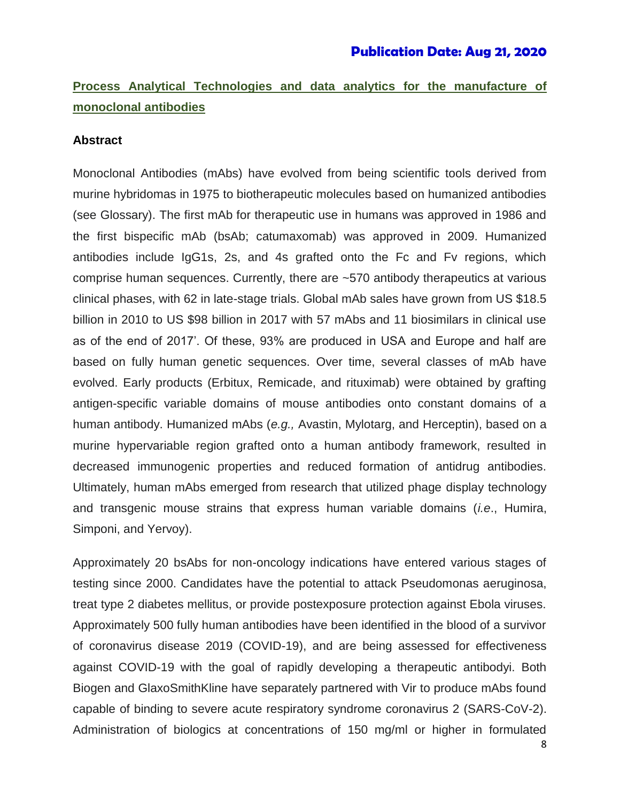# **Process Analytical Technologies and data analytics for the manufacture of monoclonal antibodies**

## **Abstract**

Monoclonal Antibodies (mAbs) have evolved from being scientific tools derived from murine hybridomas in 1975 to biotherapeutic molecules based on humanized antibodies (see Glossary). The first mAb for therapeutic use in humans was approved in 1986 and the first bispecific mAb (bsAb; catumaxomab) was approved in 2009. Humanized antibodies include IgG1s, 2s, and 4s grafted onto the Fc and Fv regions, which comprise human sequences. Currently, there are ~570 antibody therapeutics at various clinical phases, with 62 in late-stage trials. Global mAb sales have grown from US \$18.5 billion in 2010 to US \$98 billion in 2017 with 57 mAbs and 11 biosimilars in clinical use as of the end of 2017'. Of these, 93% are produced in USA and Europe and half are based on fully human genetic sequences. Over time, several classes of mAb have evolved. Early products (Erbitux, Remicade, and rituximab) were obtained by grafting antigen-specific variable domains of mouse antibodies onto constant domains of a human antibody. Humanized mAbs (*e.g.,* Avastin, Mylotarg, and Herceptin), based on a murine hypervariable region grafted onto a human antibody framework, resulted in decreased immunogenic properties and reduced formation of antidrug antibodies. Ultimately, human mAbs emerged from research that utilized phage display technology and transgenic mouse strains that express human variable domains (*i.e*., Humira, Simponi, and Yervoy).

Approximately 20 bsAbs for non-oncology indications have entered various stages of testing since 2000. Candidates have the potential to attack Pseudomonas aeruginosa, treat type 2 diabetes mellitus, or provide postexposure protection against Ebola viruses. Approximately 500 fully human antibodies have been identified in the blood of a survivor of coronavirus disease 2019 (COVID-19), and are being assessed for effectiveness against COVID-19 with the goal of rapidly developing a therapeutic antibodyi. Both Biogen and GlaxoSmithKline have separately partnered with Vir to produce mAbs found capable of binding to severe acute respiratory syndrome coronavirus 2 (SARS-CoV-2). Administration of biologics at concentrations of 150 mg/ml or higher in formulated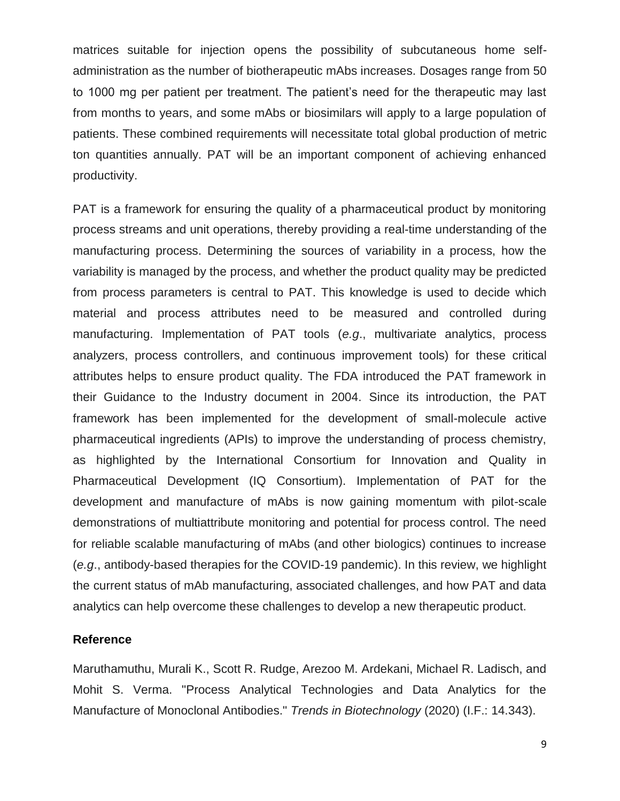matrices suitable for injection opens the possibility of subcutaneous home selfadministration as the number of biotherapeutic mAbs increases. Dosages range from 50 to 1000 mg per patient per treatment. The patient's need for the therapeutic may last from months to years, and some mAbs or biosimilars will apply to a large population of patients. These combined requirements will necessitate total global production of metric ton quantities annually. PAT will be an important component of achieving enhanced productivity.

PAT is a framework for ensuring the quality of a pharmaceutical product by monitoring process streams and unit operations, thereby providing a real-time understanding of the manufacturing process. Determining the sources of variability in a process, how the variability is managed by the process, and whether the product quality may be predicted from process parameters is central to PAT. This knowledge is used to decide which material and process attributes need to be measured and controlled during manufacturing. Implementation of PAT tools (*e.g*., multivariate analytics, process analyzers, process controllers, and continuous improvement tools) for these critical attributes helps to ensure product quality. The FDA introduced the PAT framework in their Guidance to the Industry document in 2004. Since its introduction, the PAT framework has been implemented for the development of small-molecule active pharmaceutical ingredients (APIs) to improve the understanding of process chemistry, as highlighted by the International Consortium for Innovation and Quality in Pharmaceutical Development (IQ Consortium). Implementation of PAT for the development and manufacture of mAbs is now gaining momentum with pilot-scale demonstrations of multiattribute monitoring and potential for process control. The need for reliable scalable manufacturing of mAbs (and other biologics) continues to increase (*e.g*., antibody-based therapies for the COVID-19 pandemic). In this review, we highlight the current status of mAb manufacturing, associated challenges, and how PAT and data analytics can help overcome these challenges to develop a new therapeutic product.

### **Reference**

Maruthamuthu, Murali K., Scott R. Rudge, Arezoo M. Ardekani, Michael R. Ladisch, and Mohit S. Verma. "Process Analytical Technologies and Data Analytics for the Manufacture of Monoclonal Antibodies." *Trends in Biotechnology* (2020) (I.F.: 14.343).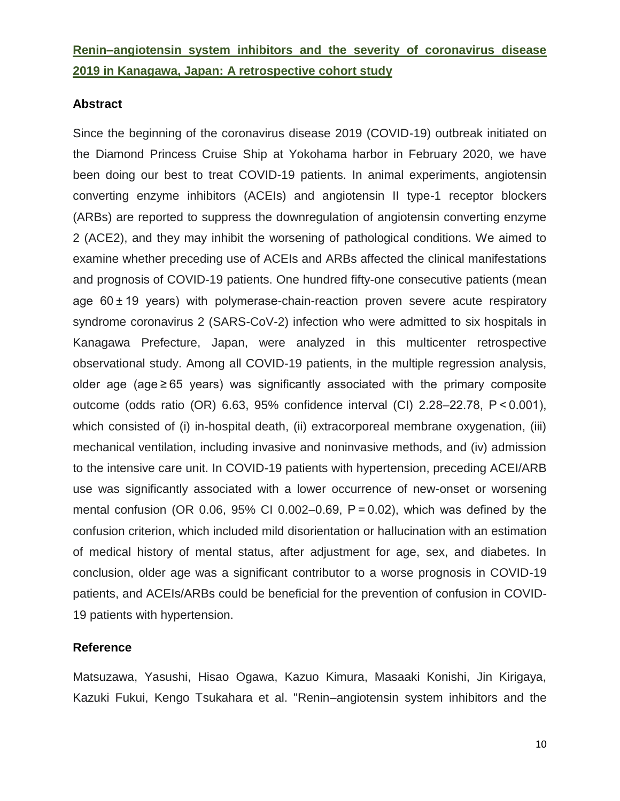# **Renin–angiotensin system inhibitors and the severity of coronavirus disease 2019 in Kanagawa, Japan: A retrospective cohort study**

### **Abstract**

Since the beginning of the coronavirus disease 2019 (COVID-19) outbreak initiated on the Diamond Princess Cruise Ship at Yokohama harbor in February 2020, we have been doing our best to treat COVID-19 patients. In animal experiments, angiotensin converting enzyme inhibitors (ACEIs) and angiotensin II type-1 receptor blockers (ARBs) are reported to suppress the downregulation of angiotensin converting enzyme 2 (ACE2), and they may inhibit the worsening of pathological conditions. We aimed to examine whether preceding use of ACEIs and ARBs affected the clinical manifestations and prognosis of COVID-19 patients. One hundred fifty-one consecutive patients (mean age 60 ± 19 years) with polymerase-chain-reaction proven severe acute respiratory syndrome coronavirus 2 (SARS-CoV-2) infection who were admitted to six hospitals in Kanagawa Prefecture, Japan, were analyzed in this multicenter retrospective observational study. Among all COVID-19 patients, in the multiple regression analysis, older age (age ≥ 65 years) was significantly associated with the primary composite outcome (odds ratio (OR) 6.63, 95% confidence interval (CI) 2.28–22.78, P < 0.001), which consisted of (i) in-hospital death, (ii) extracorporeal membrane oxygenation, (iii) mechanical ventilation, including invasive and noninvasive methods, and (iv) admission to the intensive care unit. In COVID-19 patients with hypertension, preceding ACEI/ARB use was significantly associated with a lower occurrence of new-onset or worsening mental confusion (OR 0.06, 95% CI 0.002–0.69,  $P = 0.02$ ), which was defined by the confusion criterion, which included mild disorientation or hallucination with an estimation of medical history of mental status, after adjustment for age, sex, and diabetes. In conclusion, older age was a significant contributor to a worse prognosis in COVID-19 patients, and ACEIs/ARBs could be beneficial for the prevention of confusion in COVID-19 patients with hypertension.

### **Reference**

Matsuzawa, Yasushi, Hisao Ogawa, Kazuo Kimura, Masaaki Konishi, Jin Kirigaya, Kazuki Fukui, Kengo Tsukahara et al. "Renin–angiotensin system inhibitors and the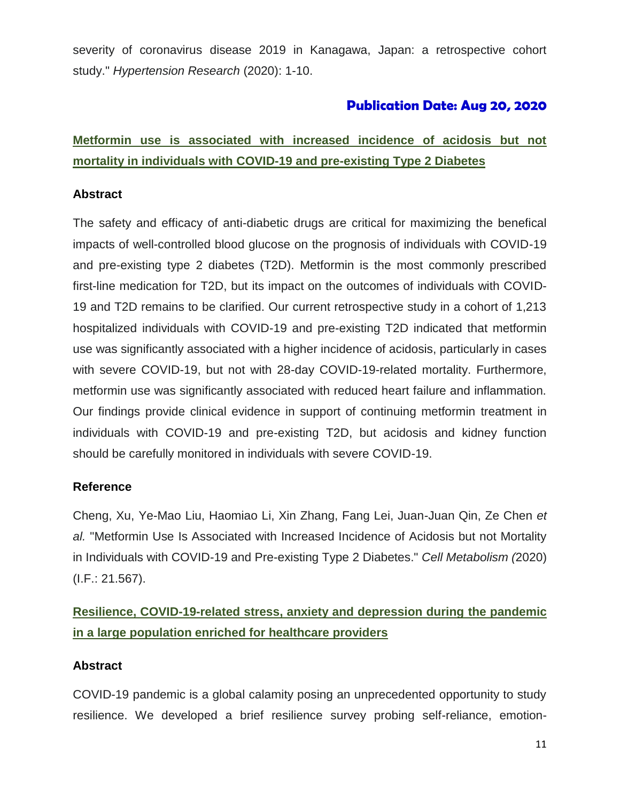severity of coronavirus disease 2019 in Kanagawa, Japan: a retrospective cohort study." *Hypertension Research* (2020): 1-10.

# **Publication Date: Aug 20, 2020**

# **Metformin use is associated with increased incidence of acidosis but not mortality in individuals with COVID-19 and pre-existing Type 2 Diabetes**

# **Abstract**

The safety and efficacy of anti-diabetic drugs are critical for maximizing the benefical impacts of well-controlled blood glucose on the prognosis of individuals with COVID-19 and pre-existing type 2 diabetes (T2D). Metformin is the most commonly prescribed first-line medication for T2D, but its impact on the outcomes of individuals with COVID-19 and T2D remains to be clarified. Our current retrospective study in a cohort of 1,213 hospitalized individuals with COVID-19 and pre-existing T2D indicated that metformin use was significantly associated with a higher incidence of acidosis, particularly in cases with severe COVID-19, but not with 28-day COVID-19-related mortality. Furthermore, metformin use was significantly associated with reduced heart failure and inflammation. Our findings provide clinical evidence in support of continuing metformin treatment in individuals with COVID-19 and pre-existing T2D, but acidosis and kidney function should be carefully monitored in individuals with severe COVID-19.

# **Reference**

Cheng, Xu, Ye-Mao Liu, Haomiao Li, Xin Zhang, Fang Lei, Juan-Juan Qin, Ze Chen *et al.* "Metformin Use Is Associated with Increased Incidence of Acidosis but not Mortality in Individuals with COVID-19 and Pre-existing Type 2 Diabetes." *Cell Metabolism (*2020) (I.F.: 21.567).

# **Resilience, COVID-19-related stress, anxiety and depression during the pandemic in a large population enriched for healthcare providers**

# **Abstract**

COVID-19 pandemic is a global calamity posing an unprecedented opportunity to study resilience. We developed a brief resilience survey probing self-reliance, emotion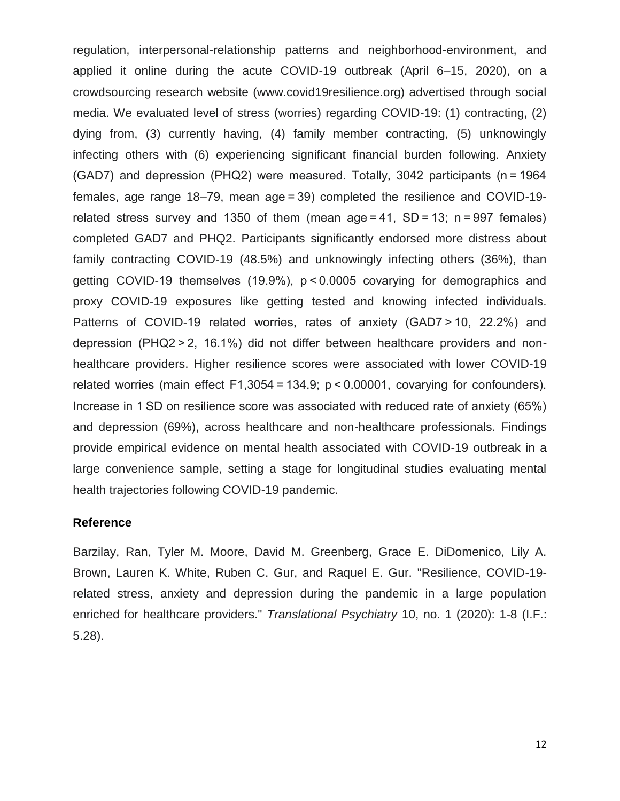regulation, interpersonal-relationship patterns and neighborhood-environment, and applied it online during the acute COVID-19 outbreak (April 6–15, 2020), on a crowdsourcing research website (www.covid19resilience.org) advertised through social media. We evaluated level of stress (worries) regarding COVID-19: (1) contracting, (2) dying from, (3) currently having, (4) family member contracting, (5) unknowingly infecting others with (6) experiencing significant financial burden following. Anxiety (GAD7) and depression (PHQ2) were measured. Totally, 3042 participants (n = 1964 females, age range 18–79, mean age = 39) completed the resilience and COVID-19 related stress survey and 1350 of them (mean age = 41, SD = 13; n = 997 females) completed GAD7 and PHQ2. Participants significantly endorsed more distress about family contracting COVID-19 (48.5%) and unknowingly infecting others (36%), than getting COVID-19 themselves (19.9%), p < 0.0005 covarying for demographics and proxy COVID-19 exposures like getting tested and knowing infected individuals. Patterns of COVID-19 related worries, rates of anxiety (GAD7 > 10, 22.2%) and depression (PHQ2 > 2, 16.1%) did not differ between healthcare providers and nonhealthcare providers. Higher resilience scores were associated with lower COVID-19 related worries (main effect F1,3054 = 134.9; p < 0.00001, covarying for confounders). Increase in 1 SD on resilience score was associated with reduced rate of anxiety (65%) and depression (69%), across healthcare and non-healthcare professionals. Findings provide empirical evidence on mental health associated with COVID-19 outbreak in a large convenience sample, setting a stage for longitudinal studies evaluating mental health trajectories following COVID-19 pandemic.

### **Reference**

Barzilay, Ran, Tyler M. Moore, David M. Greenberg, Grace E. DiDomenico, Lily A. Brown, Lauren K. White, Ruben C. Gur, and Raquel E. Gur. "Resilience, COVID-19 related stress, anxiety and depression during the pandemic in a large population enriched for healthcare providers." *Translational Psychiatry* 10, no. 1 (2020): 1-8 (I.F.: 5.28).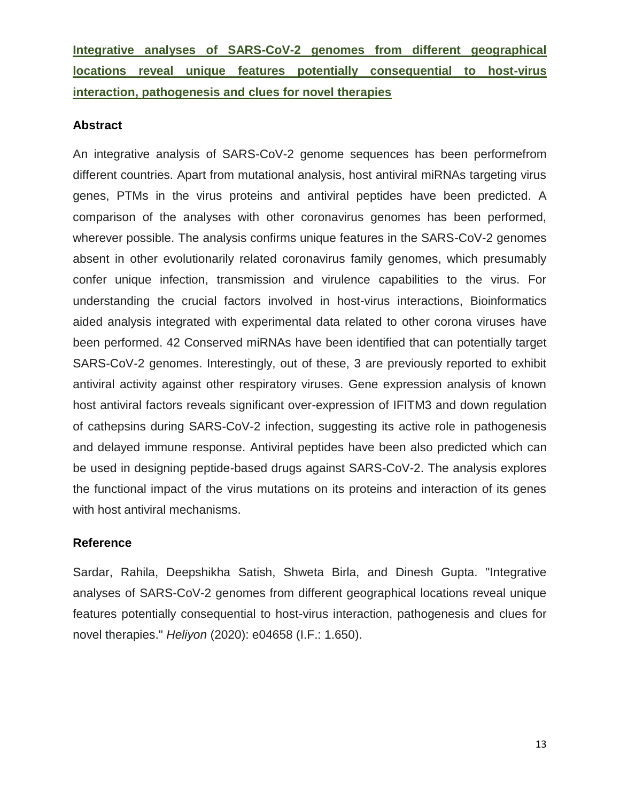**Integrative analyses of SARS-CoV-2 genomes from different geographical locations reveal unique features potentially consequential to host-virus interaction, pathogenesis and clues for novel therapies**

### **Abstract**

An integrative analysis of SARS-CoV-2 genome sequences has been performefrom different countries. Apart from mutational analysis, host antiviral miRNAs targeting virus genes, PTMs in the virus proteins and antiviral peptides have been predicted. A comparison of the analyses with other coronavirus genomes has been performed, wherever possible. The analysis confirms unique features in the SARS-CoV-2 genomes absent in other evolutionarily related coronavirus family genomes, which presumably confer unique infection, transmission and virulence capabilities to the virus. For understanding the crucial factors involved in host-virus interactions, Bioinformatics aided analysis integrated with experimental data related to other corona viruses have been performed. 42 Conserved miRNAs have been identified that can potentially target SARS-CoV-2 genomes. Interestingly, out of these, 3 are previously reported to exhibit antiviral activity against other respiratory viruses. Gene expression analysis of known host antiviral factors reveals significant over-expression of IFITM3 and down regulation of cathepsins during SARS-CoV-2 infection, suggesting its active role in pathogenesis and delayed immune response. Antiviral peptides have been also predicted which can be used in designing peptide-based drugs against SARS-CoV-2. The analysis explores the functional impact of the virus mutations on its proteins and interaction of its genes with host antiviral mechanisms.

# **Reference**

Sardar, Rahila, Deepshikha Satish, Shweta Birla, and Dinesh Gupta. "Integrative analyses of SARS-CoV-2 genomes from different geographical locations reveal unique features potentially consequential to host-virus interaction, pathogenesis and clues for novel therapies." *Heliyon* (2020): e04658 (I.F.: 1.650).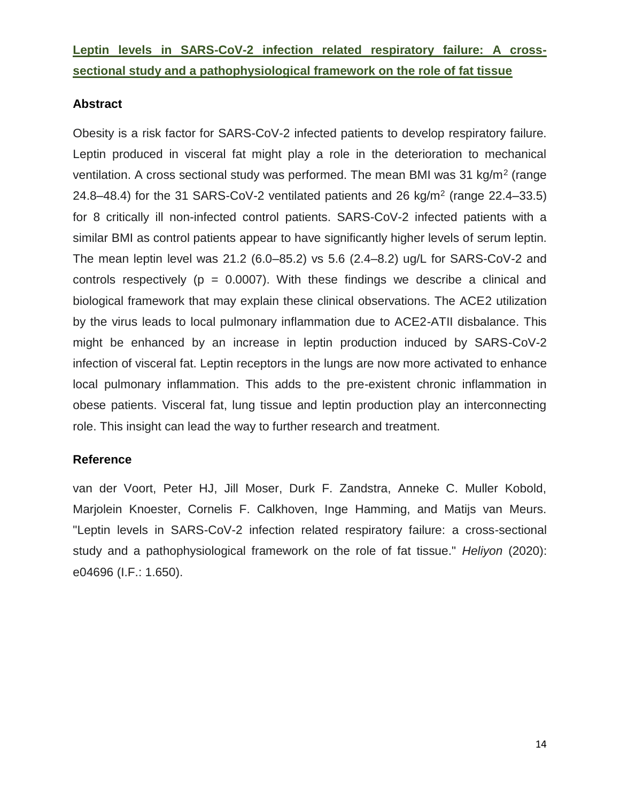**Leptin levels in SARS-CoV-2 infection related respiratory failure: A crosssectional study and a pathophysiological framework on the role of fat tissue**

# **Abstract**

Obesity is a risk factor for SARS-CoV-2 infected patients to develop respiratory failure. Leptin produced in visceral fat might play a role in the deterioration to mechanical ventilation. A cross sectional study was performed. The mean BMI was 31 kg/m<sup>2</sup> (range 24.8–48.4) for the 31 SARS-CoV-2 ventilated patients and 26 kg/m<sup>2</sup> (range 22.4–33.5) for 8 critically ill non-infected control patients. SARS-CoV-2 infected patients with a similar BMI as control patients appear to have significantly higher levels of serum leptin. The mean leptin level was 21.2 (6.0–85.2) vs 5.6 (2.4–8.2) ug/L for SARS-CoV-2 and controls respectively ( $p = 0.0007$ ). With these findings we describe a clinical and biological framework that may explain these clinical observations. The ACE2 utilization by the virus leads to local pulmonary inflammation due to ACE2-ATII disbalance. This might be enhanced by an increase in leptin production induced by SARS-CoV-2 infection of visceral fat. Leptin receptors in the lungs are now more activated to enhance local pulmonary inflammation. This adds to the pre-existent chronic inflammation in obese patients. Visceral fat, lung tissue and leptin production play an interconnecting role. This insight can lead the way to further research and treatment.

# **Reference**

van der Voort, Peter HJ, Jill Moser, Durk F. Zandstra, Anneke C. Muller Kobold, Marjolein Knoester, Cornelis F. Calkhoven, Inge Hamming, and Matijs van Meurs. "Leptin levels in SARS-CoV-2 infection related respiratory failure: a cross-sectional study and a pathophysiological framework on the role of fat tissue." *Heliyon* (2020): e04696 (I.F.: 1.650).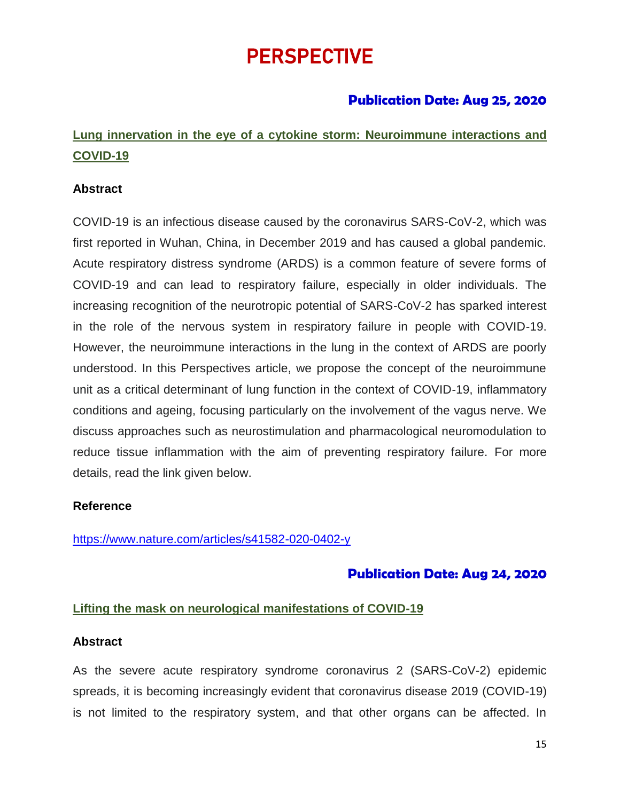# PERSPECTIVE

# **Publication Date: Aug 25, 2020**

# **Lung innervation in the eye of a cytokine storm: Neuroimmune interactions and COVID-19**

# **Abstract**

COVID-19 is an infectious disease caused by the coronavirus SARS-CoV-2, which was first reported in Wuhan, China, in December 2019 and has caused a global pandemic. Acute respiratory distress syndrome (ARDS) is a common feature of severe forms of COVID-19 and can lead to respiratory failure, especially in older individuals. The increasing recognition of the neurotropic potential of SARS-CoV-2 has sparked interest in the role of the nervous system in respiratory failure in people with COVID-19. However, the neuroimmune interactions in the lung in the context of ARDS are poorly understood. In this Perspectives article, we propose the concept of the neuroimmune unit as a critical determinant of lung function in the context of COVID-19, inflammatory conditions and ageing, focusing particularly on the involvement of the vagus nerve. We discuss approaches such as neurostimulation and pharmacological neuromodulation to reduce tissue inflammation with the aim of preventing respiratory failure. For more details, read the link given below.

# **Reference**

<https://www.nature.com/articles/s41582-020-0402-y>

# **Publication Date: Aug 24, 2020**

# **Lifting the mask on neurological manifestations of COVID-19**

### **Abstract**

As the severe acute respiratory syndrome coronavirus 2 (SARS-CoV-2) epidemic spreads, it is becoming increasingly evident that coronavirus disease 2019 (COVID-19) is not limited to the respiratory system, and that other organs can be affected. In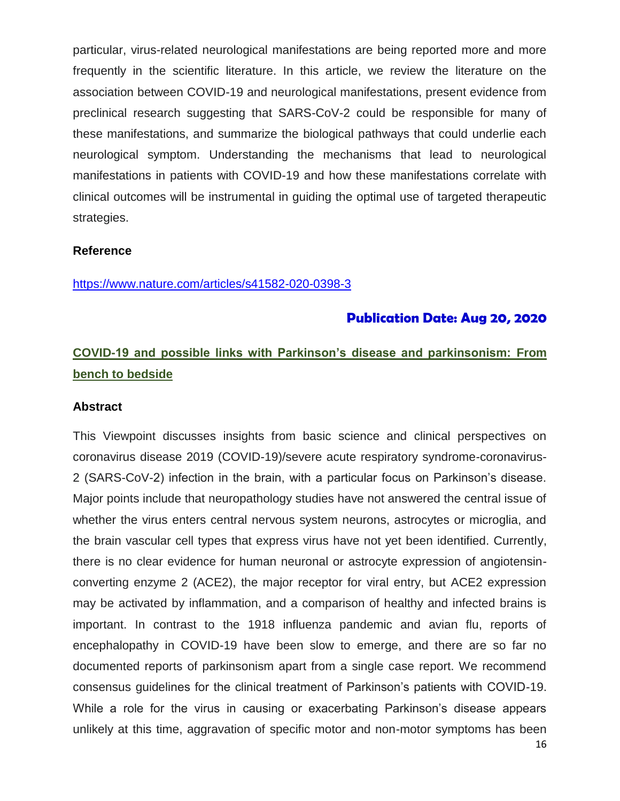particular, virus-related neurological manifestations are being reported more and more frequently in the scientific literature. In this article, we review the literature on the association between COVID-19 and neurological manifestations, present evidence from preclinical research suggesting that SARS-CoV-2 could be responsible for many of these manifestations, and summarize the biological pathways that could underlie each neurological symptom. Understanding the mechanisms that lead to neurological manifestations in patients with COVID-19 and how these manifestations correlate with clinical outcomes will be instrumental in guiding the optimal use of targeted therapeutic strategies.

### **Reference**

<https://www.nature.com/articles/s41582-020-0398-3>

# **Publication Date: Aug 20, 2020**

# **COVID-19 and possible links with Parkinson's disease and parkinsonism: From bench to bedside**

#### **Abstract**

This Viewpoint discusses insights from basic science and clinical perspectives on coronavirus disease 2019 (COVID-19)/severe acute respiratory syndrome-coronavirus-2 (SARS-CoV-2) infection in the brain, with a particular focus on Parkinson's disease. Major points include that neuropathology studies have not answered the central issue of whether the virus enters central nervous system neurons, astrocytes or microglia, and the brain vascular cell types that express virus have not yet been identified. Currently, there is no clear evidence for human neuronal or astrocyte expression of angiotensinconverting enzyme 2 (ACE2), the major receptor for viral entry, but ACE2 expression may be activated by inflammation, and a comparison of healthy and infected brains is important. In contrast to the 1918 influenza pandemic and avian flu, reports of encephalopathy in COVID-19 have been slow to emerge, and there are so far no documented reports of parkinsonism apart from a single case report. We recommend consensus guidelines for the clinical treatment of Parkinson's patients with COVID-19. While a role for the virus in causing or exacerbating Parkinson's disease appears unlikely at this time, aggravation of specific motor and non-motor symptoms has been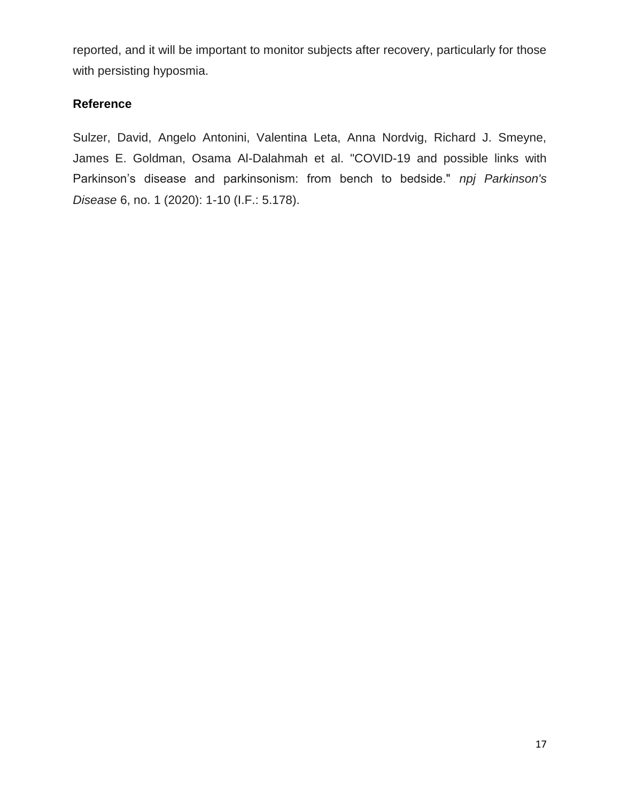reported, and it will be important to monitor subjects after recovery, particularly for those with persisting hyposmia.

# **Reference**

Sulzer, David, Angelo Antonini, Valentina Leta, Anna Nordvig, Richard J. Smeyne, James E. Goldman, Osama Al-Dalahmah et al. "COVID-19 and possible links with Parkinson's disease and parkinsonism: from bench to bedside." *npj Parkinson's Disease* 6, no. 1 (2020): 1-10 (I.F.: 5.178).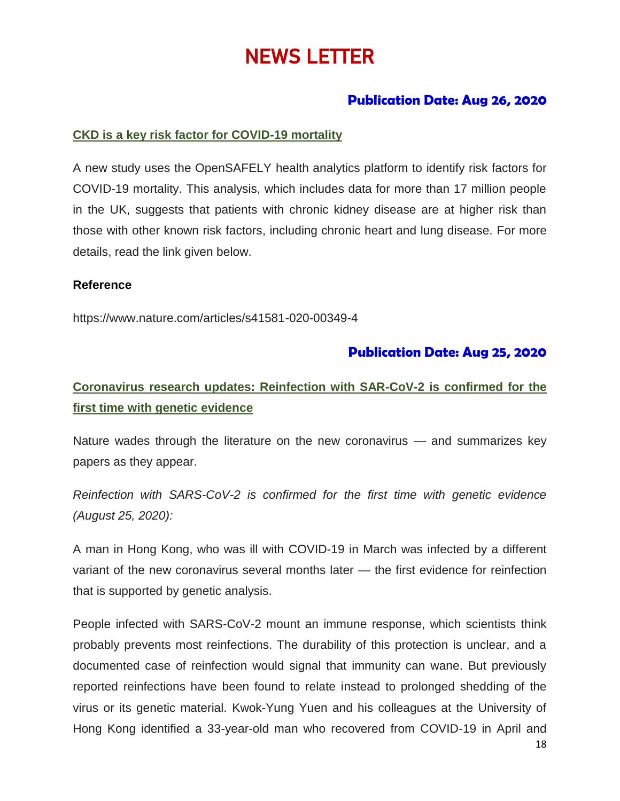# NEWS LETTER

# **Publication Date: Aug 26, 2020**

# **CKD is a key risk factor for COVID-19 mortality**

A new study uses the OpenSAFELY health analytics platform to identify risk factors for COVID-19 mortality. This analysis, which includes data for more than 17 million people in the UK, suggests that patients with chronic kidney disease are at higher risk than those with other known risk factors, including chronic heart and lung disease. For more details, read the link given below.

### **Reference**

https://www.nature.com/articles/s41581-020-00349-4

# **Publication Date: Aug 25, 2020**

# **Coronavirus research updates: Reinfection with SAR-CoV-2 is confirmed for the first time with genetic evidence**

Nature wades through the literature on the new coronavirus — and summarizes key papers as they appear.

*Reinfection with SARS-CoV-2 is confirmed for the first time with genetic evidence (August 25, 2020):*

A man in Hong Kong, who was ill with COVID-19 in March was infected by a different variant of the new coronavirus several months later — the first evidence for reinfection that is supported by genetic analysis.

People infected with SARS-CoV-2 mount an immune response, which scientists think probably prevents most reinfections. The durability of this protection is unclear, and a documented case of reinfection would signal that immunity can wane. But previously reported reinfections have been found to relate instead to prolonged shedding of the virus or its genetic material. Kwok-Yung Yuen and his colleagues at the University of Hong Kong identified a 33-year-old man who recovered from COVID-19 in April and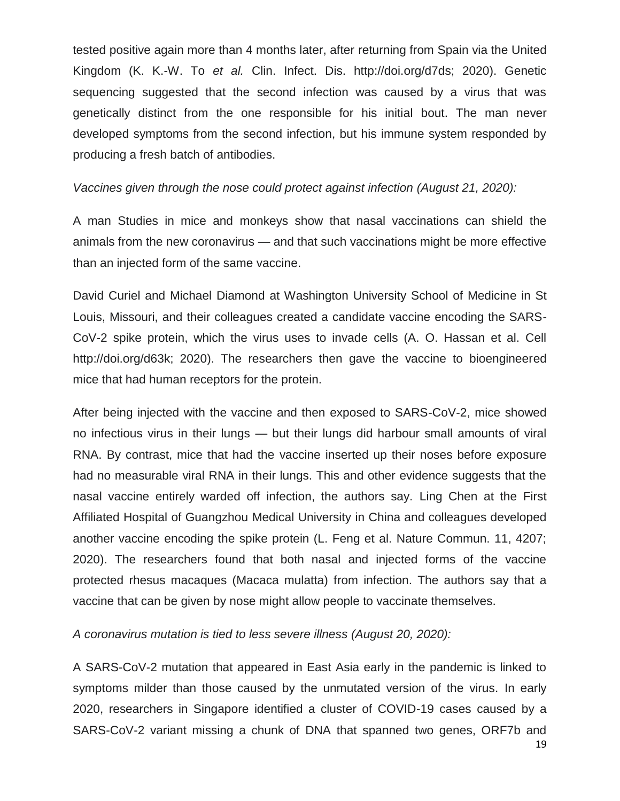tested positive again more than 4 months later, after returning from Spain via the United Kingdom (K. K.-W. To *et al.* Clin. Infect. Dis. http://doi.org/d7ds; 2020). Genetic sequencing suggested that the second infection was caused by a virus that was genetically distinct from the one responsible for his initial bout. The man never developed symptoms from the second infection, but his immune system responded by producing a fresh batch of antibodies.

## *Vaccines given through the nose could protect against infection (August 21, 2020):*

A man Studies in mice and monkeys show that nasal vaccinations can shield the animals from the new coronavirus — and that such vaccinations might be more effective than an injected form of the same vaccine.

David Curiel and Michael Diamond at Washington University School of Medicine in St Louis, Missouri, and their colleagues created a candidate vaccine encoding the SARS-CoV-2 spike protein, which the virus uses to invade cells (A. O. Hassan et al. Cell http://doi.org/d63k; 2020). The researchers then gave the vaccine to bioengineered mice that had human receptors for the protein.

After being injected with the vaccine and then exposed to SARS-CoV-2, mice showed no infectious virus in their lungs — but their lungs did harbour small amounts of viral RNA. By contrast, mice that had the vaccine inserted up their noses before exposure had no measurable viral RNA in their lungs. This and other evidence suggests that the nasal vaccine entirely warded off infection, the authors say. Ling Chen at the First Affiliated Hospital of Guangzhou Medical University in China and colleagues developed another vaccine encoding the spike protein (L. Feng et al. Nature Commun. 11, 4207; 2020). The researchers found that both nasal and injected forms of the vaccine protected rhesus macaques (Macaca mulatta) from infection. The authors say that a vaccine that can be given by nose might allow people to vaccinate themselves.

*A coronavirus mutation is tied to less severe illness (August 20, 2020):*

A SARS-CoV-2 mutation that appeared in East Asia early in the pandemic is linked to symptoms milder than those caused by the unmutated version of the virus. In early 2020, researchers in Singapore identified a cluster of COVID-19 cases caused by a SARS-CoV-2 variant missing a chunk of DNA that spanned two genes, ORF7b and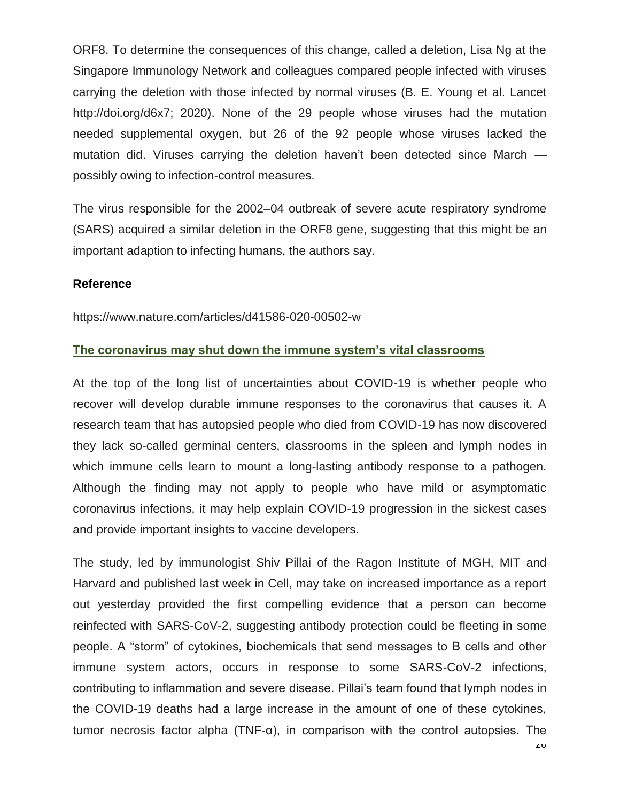ORF8. To determine the consequences of this change, called a deletion, Lisa Ng at the Singapore Immunology Network and colleagues compared people infected with viruses carrying the deletion with those infected by normal viruses (B. E. Young et al. Lancet http://doi.org/d6x7; 2020). None of the 29 people whose viruses had the mutation needed supplemental oxygen, but 26 of the 92 people whose viruses lacked the mutation did. Viruses carrying the deletion haven't been detected since March possibly owing to infection-control measures.

The virus responsible for the 2002–04 outbreak of severe acute respiratory syndrome (SARS) acquired a similar deletion in the ORF8 gene, suggesting that this might be an important adaption to infecting humans, the authors say.

### **Reference**

https://www.nature.com/articles/d41586-020-00502-w

# **The coronavirus may shut down the immune system's vital classrooms**

At the top of the long list of uncertainties about COVID-19 is whether people who recover will develop durable immune responses to the coronavirus that causes it. A research team that has autopsied people who died from COVID-19 has now discovered they lack so-called germinal centers, classrooms in the spleen and lymph nodes in which immune cells learn to mount a long-lasting antibody response to a pathogen. Although the finding may not apply to people who have mild or asymptomatic coronavirus infections, it may help explain COVID-19 progression in the sickest cases and provide important insights to vaccine developers.

The study, led by immunologist Shiv Pillai of the Ragon Institute of MGH, MIT and Harvard and published last week in Cell, may take on increased importance as a report out yesterday provided the first compelling evidence that a person can become reinfected with SARS-CoV-2, suggesting antibody protection could be fleeting in some people. A "storm" of cytokines, biochemicals that send messages to B cells and other immune system actors, occurs in response to some SARS-CoV-2 infections, contributing to inflammation and severe disease. Pillai's team found that lymph nodes in the COVID-19 deaths had a large increase in the amount of one of these cytokines, tumor necrosis factor alpha (TNF-α), in comparison with the control autopsies. The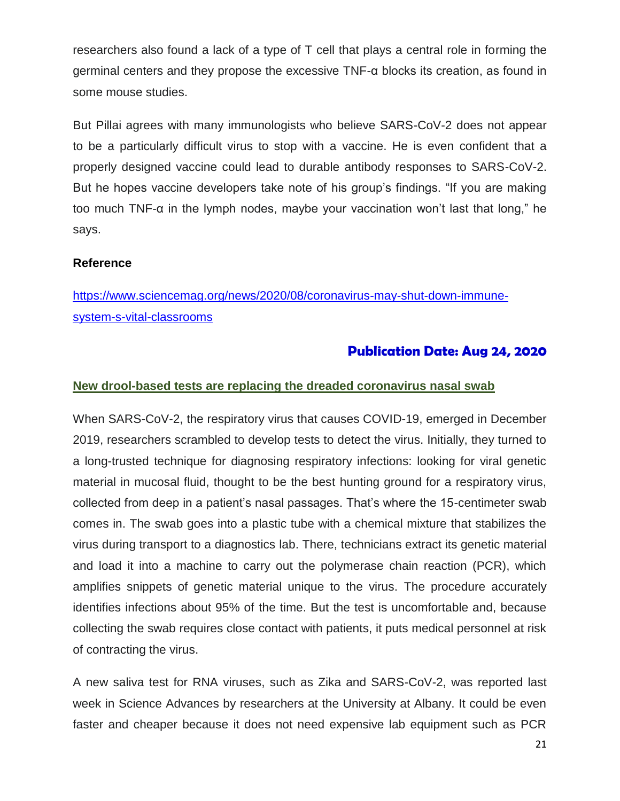researchers also found a lack of a type of T cell that plays a central role in forming the germinal centers and they propose the excessive TNF-α blocks its creation, as found in some mouse studies.

But Pillai agrees with many immunologists who believe SARS-CoV-2 does not appear to be a particularly difficult virus to stop with a vaccine. He is even confident that a properly designed vaccine could lead to durable antibody responses to SARS-CoV-2. But he hopes vaccine developers take note of his group's findings. "If you are making too much TNF-α in the lymph nodes, maybe your vaccination won't last that long," he says.

# **Reference**

[https://www.sciencemag.org/news/2020/08/coronavirus-may-shut-down-immune](https://www.sciencemag.org/news/2020/08/coronavirus-may-shut-down-immune-system-s-vital-classrooms)[system-s-vital-classrooms](https://www.sciencemag.org/news/2020/08/coronavirus-may-shut-down-immune-system-s-vital-classrooms)

# **Publication Date: Aug 24, 2020**

# **New drool-based tests are replacing the dreaded coronavirus nasal swab**

When SARS-CoV-2, the respiratory virus that causes COVID-19, emerged in December 2019, researchers scrambled to develop tests to detect the virus. Initially, they turned to a long-trusted technique for diagnosing respiratory infections: looking for viral genetic material in mucosal fluid, thought to be the best hunting ground for a respiratory virus, collected from deep in a patient's nasal passages. That's where the 15-centimeter swab comes in. The swab goes into a plastic tube with a chemical mixture that stabilizes the virus during transport to a diagnostics lab. There, technicians extract its genetic material and load it into a machine to carry out the polymerase chain reaction (PCR), which amplifies snippets of genetic material unique to the virus. The procedure accurately identifies infections about 95% of the time. But the test is uncomfortable and, because collecting the swab requires close contact with patients, it puts medical personnel at risk of contracting the virus.

A new saliva test for RNA viruses, such as Zika and SARS-CoV-2, was reported last week in Science Advances by researchers at the University at Albany. It could be even faster and cheaper because it does not need expensive lab equipment such as PCR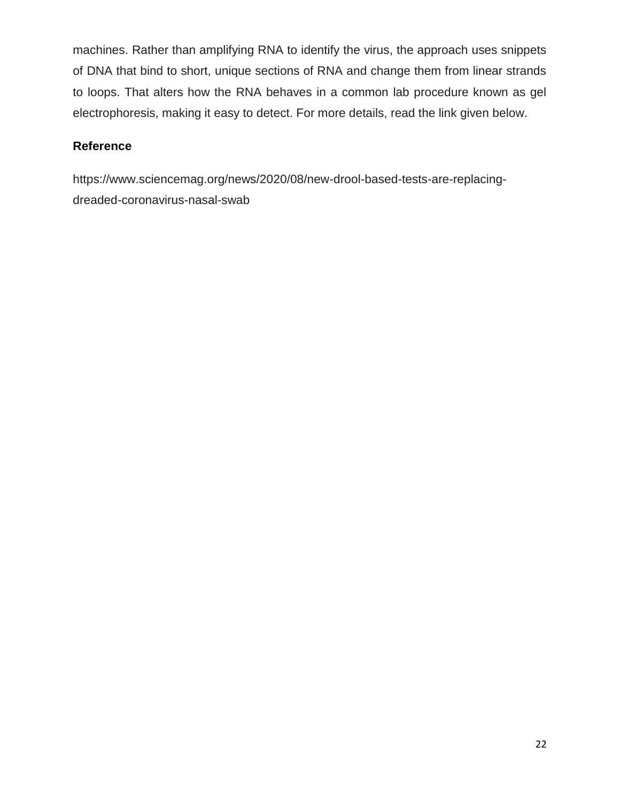machines. Rather than amplifying RNA to identify the virus, the approach uses snippets of DNA that bind to short, unique sections of RNA and change them from linear strands to loops. That alters how the RNA behaves in a common lab procedure known as gel electrophoresis, making it easy to detect. For more details, read the link given below.

# **Reference**

https://www.sciencemag.org/news/2020/08/new-drool-based-tests-are-replacingdreaded-coronavirus-nasal-swab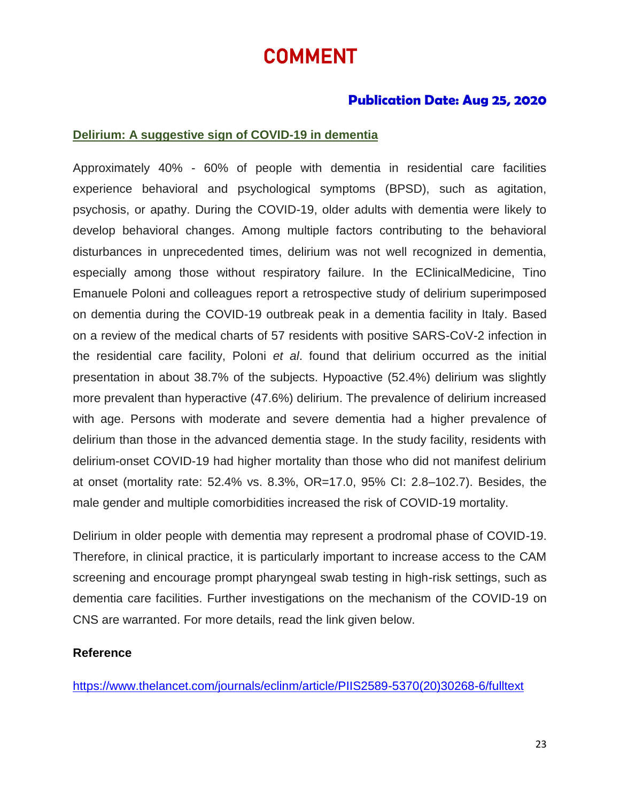# COMMENT

# **Publication Date: Aug 25, 2020**

## **Delirium: A suggestive sign of COVID-19 in dementia**

Approximately 40% - 60% of people with dementia in residential care facilities experience behavioral and psychological symptoms (BPSD), such as agitation, psychosis, or apathy. During the COVID-19, older adults with dementia were likely to develop behavioral changes. Among multiple factors contributing to the behavioral disturbances in unprecedented times, delirium was not well recognized in dementia, especially among those without respiratory failure. In the EClinicalMedicine, Tino Emanuele Poloni and colleagues report a retrospective study of delirium superimposed on dementia during the COVID-19 outbreak peak in a dementia facility in Italy. Based on a review of the medical charts of 57 residents with positive SARS-CoV-2 infection in the residential care facility, Poloni *et al*. found that delirium occurred as the initial presentation in about 38.7% of the subjects. Hypoactive (52.4%) delirium was slightly more prevalent than hyperactive (47.6%) delirium. The prevalence of delirium increased with age. Persons with moderate and severe dementia had a higher prevalence of delirium than those in the advanced dementia stage. In the study facility, residents with delirium-onset COVID-19 had higher mortality than those who did not manifest delirium at onset (mortality rate: 52.4% vs. 8.3%, OR=17.0, 95% CI: 2.8–102.7). Besides, the male gender and multiple comorbidities increased the risk of COVID-19 mortality.

Delirium in older people with dementia may represent a prodromal phase of COVID-19. Therefore, in clinical practice, it is particularly important to increase access to the CAM screening and encourage prompt pharyngeal swab testing in high-risk settings, such as dementia care facilities. Further investigations on the mechanism of the COVID-19 on CNS are warranted. For more details, read the link given below.

### **Reference**

[https://www.thelancet.com/journals/eclinm/article/PIIS2589-5370\(20\)30268-6/fulltext](https://www.thelancet.com/journals/eclinm/article/PIIS2589-5370(20)30268-6/fulltext)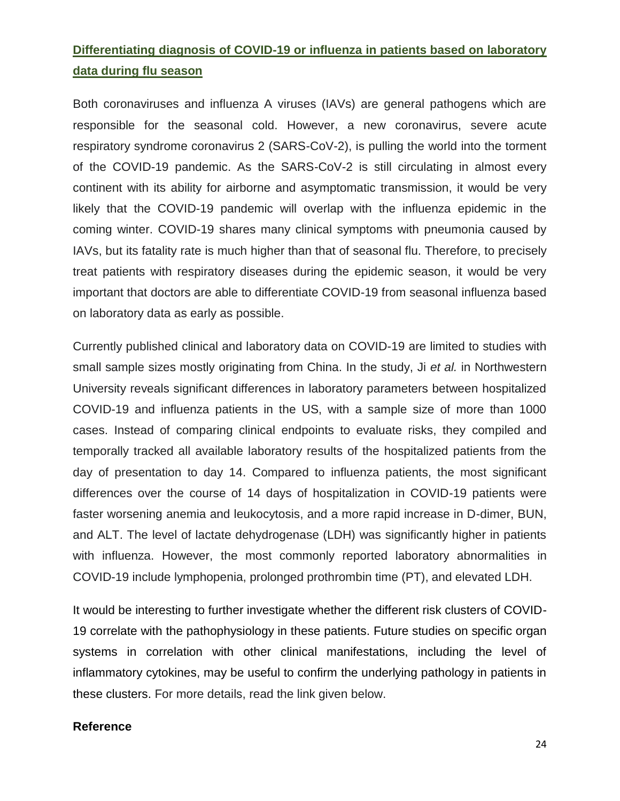# **Differentiating diagnosis of COVID-19 or influenza in patients based on laboratory data during flu season**

Both coronaviruses and influenza A viruses (IAVs) are general pathogens which are responsible for the seasonal cold. However, a new coronavirus, severe acute respiratory syndrome coronavirus 2 (SARS-CoV-2), is pulling the world into the torment of the COVID-19 pandemic. As the SARS-CoV-2 is still circulating in almost every continent with its ability for airborne and asymptomatic transmission, it would be very likely that the COVID-19 pandemic will overlap with the influenza epidemic in the coming winter. COVID-19 shares many clinical symptoms with pneumonia caused by IAVs, but its fatality rate is much higher than that of seasonal flu. Therefore, to precisely treat patients with respiratory diseases during the epidemic season, it would be very important that doctors are able to differentiate COVID-19 from seasonal influenza based on laboratory data as early as possible.

Currently published clinical and laboratory data on COVID-19 are limited to studies with small sample sizes mostly originating from China. In the study, Ji *et al.* in Northwestern University reveals significant differences in laboratory parameters between hospitalized COVID-19 and influenza patients in the US, with a sample size of more than 1000 cases. Instead of comparing clinical endpoints to evaluate risks, they compiled and temporally tracked all available laboratory results of the hospitalized patients from the day of presentation to day 14. Compared to influenza patients, the most significant differences over the course of 14 days of hospitalization in COVID-19 patients were faster worsening anemia and leukocytosis, and a more rapid increase in D-dimer, BUN, and ALT. The level of lactate dehydrogenase (LDH) was significantly higher in patients with influenza. However, the most commonly reported laboratory abnormalities in COVID-19 include lymphopenia, prolonged prothrombin time (PT), and elevated LDH.

It would be interesting to further investigate whether the different risk clusters of COVID-19 correlate with the pathophysiology in these patients. Future studies on specific organ systems in correlation with other clinical manifestations, including the level of inflammatory cytokines, may be useful to confirm the underlying pathology in patients in these clusters. For more details, read the link given below.

# **Reference**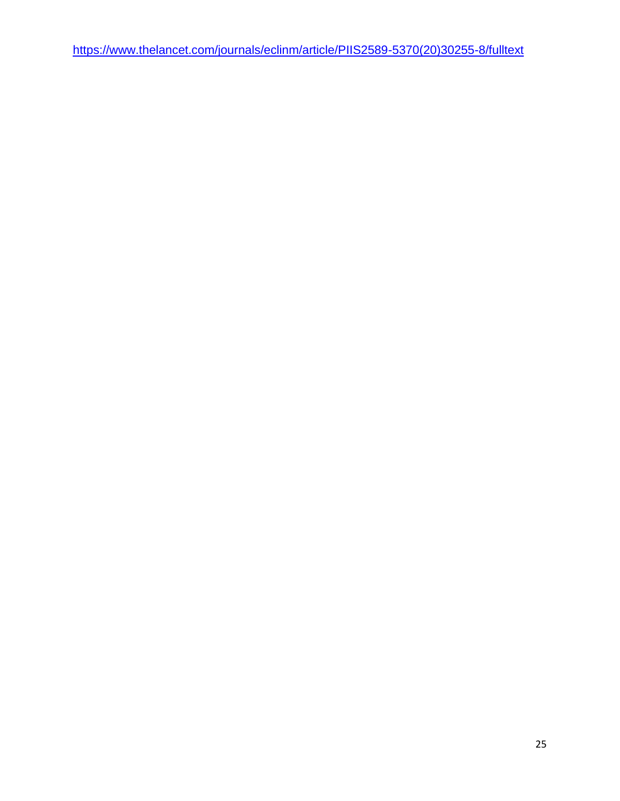[https://www.thelancet.com/journals/eclinm/article/PIIS2589-5370\(20\)30255-8/fulltext](https://www.thelancet.com/journals/eclinm/article/PIIS2589-5370(20)30255-8/fulltext)